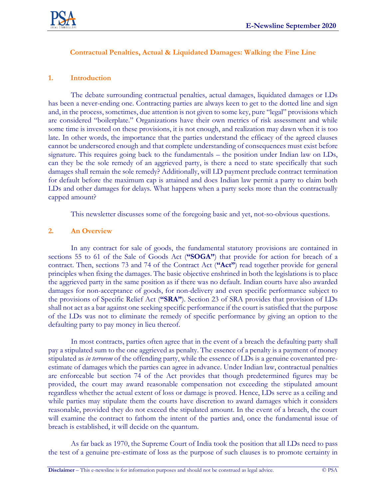

# **Contractual Penalties, Actual & Liquidated Damages: Walking the Fine Line**

## **1. Introduction**

The debate surrounding contractual penalties, actual damages, liquidated damages or LDs has been a never-ending one. Contracting parties are always keen to get to the dotted line and sign and, in the process, sometimes, due attention is not given to some key, pure "legal" provisions which are considered "boilerplate." Organizations have their own metrics of risk assessment and while some time is invested on these provisions, it is not enough, and realization may dawn when it is too late. In other words, the importance that the parties understand the efficacy of the agreed clauses cannot be underscored enough and that complete understanding of consequences must exist before signature. This requires going back to the fundamentals – the position under Indian law on LDs, can they be the sole remedy of an aggrieved party, is there a need to state specifically that such damages shall remain the sole remedy? Additionally, will LD payment preclude contract termination for default before the maximum cap is attained and does Indian law permit a party to claim both LDs and other damages for delays. What happens when a party seeks more than the contractually capped amount?

This newsletter discusses some of the foregoing basic and yet, not-so-obvious questions.

#### **2. An Overview**

In any contract for sale of goods, the fundamental statutory provisions are contained in sections 55 to 61 of the Sale of Goods Act (**"SOGA"**) that provide for action for breach of a contract. Then, sections 73 and 74 of the Contract Act (**"Act"**) read together provide for general principles when fixing the damages. The basic objective enshrined in both the legislations is to place the aggrieved party in the same position as if there was no default. Indian courts have also awarded damages for non-acceptance of goods, for non-delivery and even specific performance subject to the provisions of Specific Relief Act (**"SRA"**). Section 23 of SRA provides that provision of LDs shall not act as a bar against one seeking specific performance if the court is satisfied that the purpose of the LDs was not to eliminate the remedy of specific performance by giving an option to the defaulting party to pay money in lieu thereof.

In most contracts, parties often agree that in the event of a breach the defaulting party shall pay a stipulated sum to the one aggrieved as penalty. The essence of a penalty is a payment of money stipulated as *in terrorem* of the offending party, while the essence of LDs is a genuine covenanted preestimate of damages which the parties can agree in advance. Under Indian law, contractual penalties are enforceable but section 74 of the Act provides that though predetermined figures may be provided, the court may award reasonable compensation not exceeding the stipulated amount regardless whether the actual extent of loss or damage is proved. Hence, LDs serve as a ceiling and while parties may stipulate them the courts have discretion to award damages which it considers reasonable, provided they do not exceed the stipulated amount. In the event of a breach, the court will examine the contract to fathom the intent of the parties and, once the fundamental issue of breach is established, it will decide on the quantum.

As far back as 1970, the Supreme Court of India took the position that all LDs need to pass the test of a genuine pre-estimate of loss as the purpose of such clauses is to promote certainty in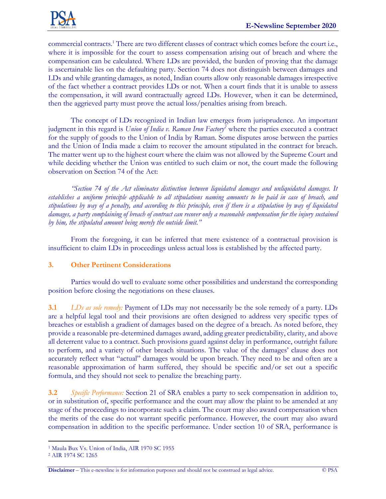

commercial contracts.<sup>1</sup> There are two different classes of contract which comes before the court i.e., where it is impossible for the court to assess compensation arising out of breach and where the compensation can be calculated. Where LDs are provided, the burden of proving that the damage is ascertainable lies on the defaulting party. Section 74 does not distinguish between damages and LDs and while granting damages, as noted, Indian courts allow only reasonable damages irrespective of the fact whether a contract provides LDs or not. When a court finds that it is unable to assess the compensation, it will award contractually agreed LDs. However, when it can be determined, then the aggrieved party must prove the actual loss/penalties arising from breach.

The concept of LDs recognized in Indian law emerges from jurisprudence. An important judgment in this regard is *Union of India v. Raman Iron Factory<sup>2</sup>* where the parties executed a contract for the supply of goods to the Union of India by Raman. Some disputes arose between the parties and the Union of India made a claim to recover the amount stipulated in the contract for breach. The matter went up to the highest court where the claim was not allowed by the Supreme Court and while deciding whether the Union was entitled to such claim or not, the court made the following observation on Section 74 of the Act:

*"Section 74 of the Act eliminates distinction between liquidated damages and unliquidated damages. It*  establishes a uniform principle applicable to all stipulations naming amounts to be paid in case of breach, and *stipulations by way of a penalty, and according to this principle, even if there is a stipulation by way of liquidated damages, a party complaining of breach of contract can recover only a reasonable compensation for the injury sustained by him, the stipulated amount being merely the outside limit."*

From the foregoing, it can be inferred that mere existence of a contractual provision is insufficient to claim LDs in proceedings unless actual loss is established by the affected party.

# **3. Other Pertinent Considerations**

Parties would do well to evaluate some other possibilities and understand the corresponding position before closing the negotiations on these clauses.

**3.1** *LDs as sole remedy:* Payment of LDs may not necessarily be the sole remedy of a party. LDs are a helpful legal tool and their provisions are often designed to address very specific types of breaches or establish a gradient of damages based on the degree of a breach. As noted before, they provide a reasonable pre-determined damages award, adding greater predictability, clarity, and above all deterrent value to a contract. Such provisions guard against delay in performance, outright failure to perform, and a variety of other breach situations. The value of the damages' clause does not accurately reflect what "actual" damages would be upon breach. They need to be and often are a reasonable approximation of harm suffered, they should be specific and/or set out a specific formula, and they should not seek to penalize the breaching party.

**3.2** *Specific Performance:* Section 21 of SRA enables a party to seek compensation in addition to, or in substitution of, specific performance and the court may allow the plaint to be amended at any stage of the proceedings to incorporate such a claim. The court may also award compensation when the merits of the case do not warrant specific performance. However, the court may also award compensation in addition to the specific performance. Under section 10 of SRA, performance is

<sup>1</sup> Maula Bux Vs. Union of India, AIR 1970 SC 1955

<sup>2</sup> AIR 1974 SC 1265

**Disclaimer** – This e-newsline is for information purposes and should not be construed as legal advice. © PSA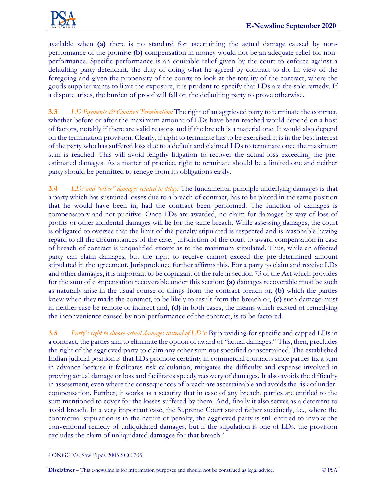

available when **(a)** there is no standard for ascertaining the actual damage caused by nonperformance of the promise **(b)** compensation in money would not be an adequate relief for nonperformance. Specific performance is an equitable relief given by the court to enforce against a defaulting party defendant, the duty of doing what he agreed by contract to do. In view of the foregoing and given the propensity of the courts to look at the totality of the contract, where the goods supplier wants to limit the exposure, it is prudent to specify that LDs are the sole remedy. If a dispute arises, the burden of proof will fall on the defaulting party to prove otherwise.

**3.3** *LD Payments*  $\Diamond$  *Contract Termination:* The right of an aggrieved party to terminate the contract, whether before or after the maximum amount of LDs have been reached would depend on a host of factors, notably if there are valid reasons and if the breach is a material one. It would also depend on the termination provision. Clearly, if right to terminate has to be exercised, it is in the best interest of the party who has suffered loss due to a default and claimed LDs to terminate once the maximum sum is reached. This will avoid lengthy litigation to recover the actual loss exceeding the preestimated damages. As a matter of practice, right to terminate should be a limited one and neither party should be permitted to renege from its obligations easily.

**3.4** *LDs and "other" damages related to delay:* The fundamental principle underlying damages is that a party which has sustained losses due to a breach of contract, has to be placed in the same position that he would have been in, had the contract been performed. The function of damages is compensatory and not punitive. Once LDs are awarded, no claim for damages by way of loss of profits or other incidental damages will lie for the same breach. While assessing damages, the court is obligated to oversee that the limit of the penalty stipulated is respected and is reasonable having regard to all the circumstances of the case. Jurisdiction of the court to award compensation in case of breach of contract is unqualified except as to the maximum stipulated. Thus, while an affected party can claim damages, but the right to receive cannot exceed the pre-determined amount stipulated in the agreement. Jurisprudence further affirms this. For a party to claim and receive LDs and other damages, it is important to be cognizant of the rule in section 73 of the Act which provides for the sum of compensation recoverable under this section: **(a)** damages recoverable must be such as naturally arise in the usual course of things from the contract breach or, **(b)** which the parties knew when they made the contract, to be likely to result from the breach or, **(c)** such damage must in neither case be remote or indirect and, **(d)** in both cases, the means which existed of remedying the inconvenience caused by non-performance of the contract, is to be factored.

**3.5** *Party's right to choose actual damages instead of LD's:* By providing for specific and capped LDs in a contract, the parties aim to eliminate the option of award of "actual damages." This, then, precludes the right of the aggrieved party to claim any other sum not specified or ascertained. The established Indian judicial position is that LDs promote certainty in commercial contracts since parties fix a sum in advance because it facilitates risk calculation, mitigates the difficulty and expense involved in proving actual damage or loss and facilitates speedy recovery of damages. It also avoids the difficulty in assessment, even where the consequences of breach are ascertainable and avoids the risk of undercompensation. Further, it works as a security that in case of any breach, parties are entitled to the sum mentioned to cover for the losses suffered by them. And, finally it also serves as a deterrent to avoid breach. In a very important case, the Supreme Court stated rather succinctly, i.e., where the contractual stipulation is in the nature of penalty, the aggrieved party is still entitled to invoke the conventional remedy of unliquidated damages, but if the stipulation is one of LDs, the provision excludes the claim of unliquidated damages for that breach.<sup>3</sup>

<sup>3</sup> ONGC Vs. Saw Pipes 2005 SCC 705